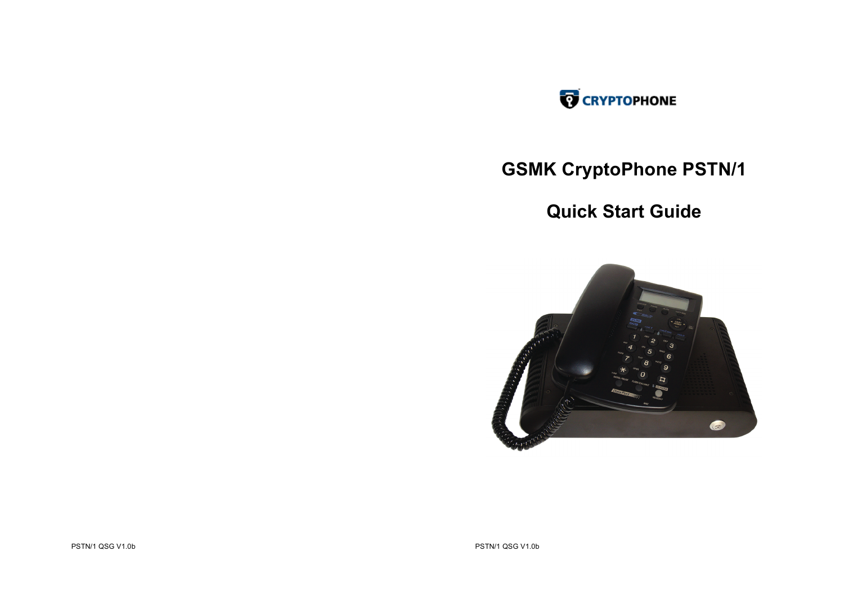

# **GSMK CryptoPhone PSTN/1**

## **Quick Start Guide**